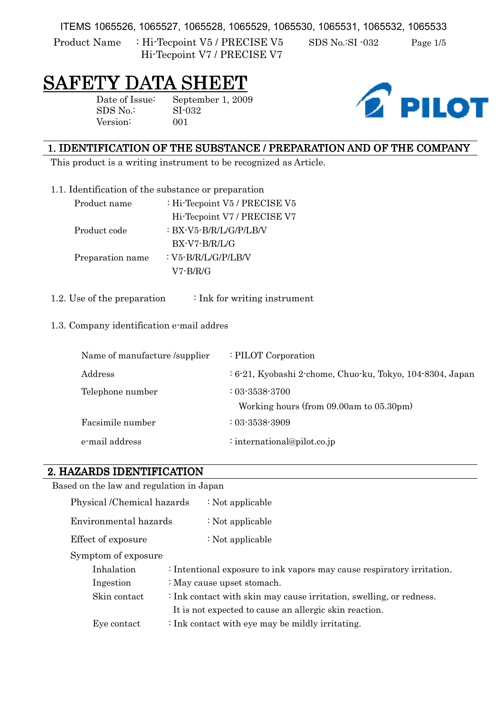ITEMS 1065526, 1065527, 1065528, 1065529, 1065530, 1065531, 1065532, 1065533

Product Name : Hi-Tecpoint V5 / PRECISE V5 SDS No.:SI -032 Page 1/5 Hi-Tecpoint V7 / PRECISE V7

# SAFETY DATA SH

Version: 001

Date of Issue: September 1, 2009 SDS No.: SI-032



## 1. IDENTIFICATION OF THE SUBSTANCE / PREPARATION AND OF THE COMPANY

This product is a writing instrument to be recognized as Article.

| 1.1. Identification of the substance or preparation |  |  |
|-----------------------------------------------------|--|--|
|                                                     |  |  |

| Product name     | : Hi-Tecpoint V5 / PRECISE V5 |
|------------------|-------------------------------|
|                  | Hi-Tecpoint V7 / PRECISE V7   |
| Product code     | : BX-V5-B/R/L/G/P/LB/V        |
|                  | BX-V7-B/R/L/G                 |
| Preparation name | : V5-B/R/L/G/P/LB/V           |
|                  | V7-B/R/G                      |

1.2. Use of the preparation  $\cdot$  Ink for writing instrument

#### 1.3. Company identification e-mail addres

| Name of manufacture /supplier | : PILOT Corporation                                             |
|-------------------------------|-----------------------------------------------------------------|
| Address                       | $: 6-21$ , Kyobashi 2-chome, Chuo-ku, Tokyo, 104-8304, Japan    |
| Telephone number              | $: 03 - 3538 - 3700$<br>Working hours (from 09.00am to 05.30pm) |
| Facsimile number              | $: 03 - 3538 - 3909$                                            |
| e-mail address                | : international@pilot.co.jp                                     |

#### 2. HAZARDS IDENTIFICATION

Based on the law and regulation in Japan

| Physical /Chemical hazards                                                 | $\div$ Not applicable                                                  |  |
|----------------------------------------------------------------------------|------------------------------------------------------------------------|--|
| Environmental hazards                                                      | $\div$ Not applicable                                                  |  |
| Effect of exposure                                                         | $\div$ Not applicable                                                  |  |
| Symptom of exposure                                                        |                                                                        |  |
| Inhalation                                                                 | : Intentional exposure to ink vapors may cause respiratory irritation. |  |
| Ingestion                                                                  | : May cause upset stomach.                                             |  |
| Skin contact                                                               | : Ink contact with skin may cause irritation, swelling, or redness.    |  |
|                                                                            | It is not expected to cause an allergic skin reaction.                 |  |
| $\therefore$ Ink contact with eye may be mildly irritating.<br>Eye contact |                                                                        |  |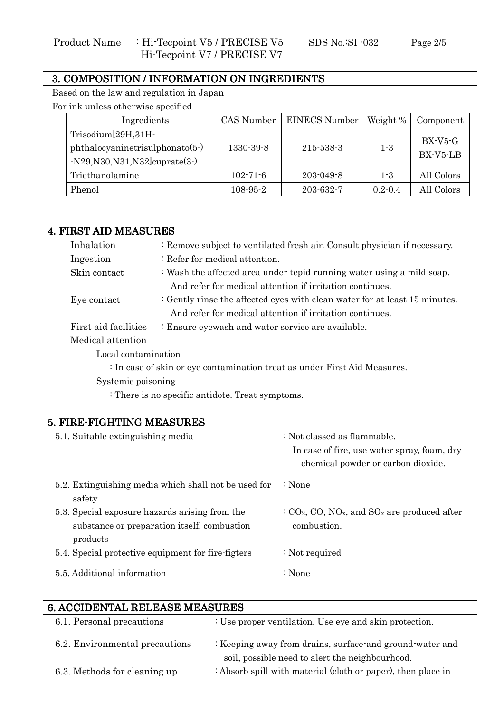### 3. COMPOSITION / INFORMATION ON INGREDIENTS

Based on the law and regulation in Japan For ink unless otherwise specified

| Ingredients                                                                                  | CAS Number     | <b>EINECS Number</b> | Weight %    | Component                     |
|----------------------------------------------------------------------------------------------|----------------|----------------------|-------------|-------------------------------|
| $Trisodium[29H,31H-$<br>$phthalocyaninetrisulphonato(5-)$<br>$-N29,N30,N31,N32] cuprate(3-)$ | 1330-39-8      | 215-538-3            | $1 - 3$     | $BX$ - $V5$ - $G$<br>BX-V5-LB |
| Triethanolamine                                                                              | $102 - 71 - 6$ | $203 - 049 - 8$      | $1 - 3$     | All Colors                    |
| Phenol                                                                                       | $108 - 95 - 2$ | $203 - 632 - 7$      | $0.2 - 0.4$ | All Colors                    |

| <b>4. FIRST AID MEASURES</b>                     |                                                      |                                                                                                    |  |  |
|--------------------------------------------------|------------------------------------------------------|----------------------------------------------------------------------------------------------------|--|--|
| Inhalation                                       |                                                      | : Remove subject to ventilated fresh air. Consult physician if necessary.                          |  |  |
| Ingestion                                        | : Refer for medical attention.                       |                                                                                                    |  |  |
| Skin contact                                     |                                                      | : Wash the affected area under tepid running water using a mild soap.                              |  |  |
|                                                  |                                                      | And refer for medical attention if irritation continues.                                           |  |  |
| Eye contact                                      |                                                      | : Gently rinse the affected eyes with clean water for at least 15 minutes.                         |  |  |
|                                                  |                                                      | And refer for medical attention if irritation continues.                                           |  |  |
| First aid facilities                             | : Ensure eyewash and water service are available.    |                                                                                                    |  |  |
| Medical attention                                |                                                      |                                                                                                    |  |  |
| Local contamination                              |                                                      |                                                                                                    |  |  |
|                                                  |                                                      | : In case of skin or eye contamination treat as under First Aid Measures.                          |  |  |
| Systemic poisoning                               |                                                      |                                                                                                    |  |  |
| : There is no specific antidote. Treat symptoms. |                                                      |                                                                                                    |  |  |
|                                                  |                                                      |                                                                                                    |  |  |
| 5. FIRE-FIGHTING MEASURES                        |                                                      |                                                                                                    |  |  |
| 5.1. Suitable extinguishing media                |                                                      | : Not classed as flammable.                                                                        |  |  |
|                                                  |                                                      | In case of fire, use water spray, foam, dry                                                        |  |  |
|                                                  |                                                      | chemical powder or carbon dioxide.                                                                 |  |  |
|                                                  | 5.2. Extinguishing media which shall not be used for | $\therefore$ None                                                                                  |  |  |
| safety                                           |                                                      |                                                                                                    |  |  |
| 5.3. Special exposure hazards arising from the   |                                                      | $C_2$ CO <sub>2</sub> , CO <sub>3</sub> , NO <sub>x</sub> , and SO <sub>x</sub> are produced after |  |  |

| substance or preparation itself, combustion        | combustion.      |  |
|----------------------------------------------------|------------------|--|
| products                                           |                  |  |
| 5.4. Special protective equipment for fire-figters | $:$ Not required |  |
| 5.5. Additional information                        | :None            |  |

# 6. ACCIDENTAL RELEASE MEASURES 6.

| 6.1. Personal precautions      | : Use proper ventilation. Use eye and skin protection.                                                      |
|--------------------------------|-------------------------------------------------------------------------------------------------------------|
| 6.2. Environmental precautions | : Keeping away from drains, surface and ground water and<br>soil, possible need to alert the neighbourhood. |
| 6.3. Methods for cleaning up   | : Absorb spill with material (cloth or paper), then place in                                                |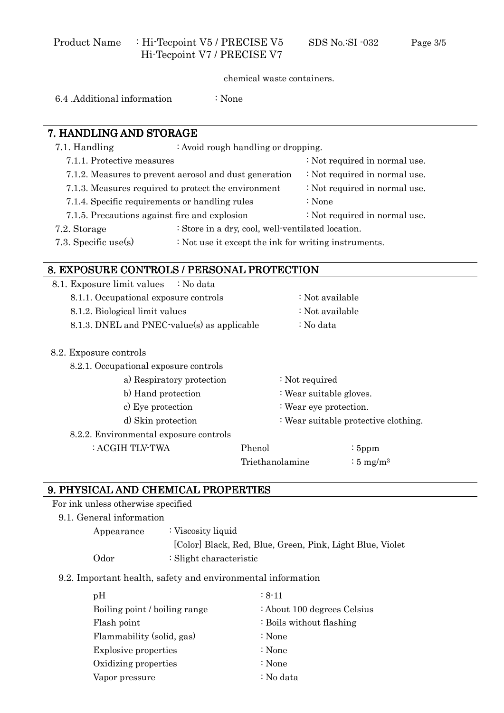chemical waste containers.

6.4 .Additional information : None

# 7. HANDLING AND STORAGE 7.1. Handling : Avoid rough handling or dropping. 7.1.1. Protective measures : Not required in normal use. 7.1.2. Measures to prevent aerosol and dust generation : Not required in normal use. 7.1.3. Measures required to protect the environment : Not required in normal use. 7.1.4. Specific requirements or handling rules : None 7.1.5. Precautions against fire and explosion : Not required in normal use. 7.2. Storage : Store in a dry, cool, well-ventilated location. 7.3. Specific use(s)  $\cdot \text{Not use it except the ink for writing instruments.}$ 8. EXPOSURE CONTROLS / PERSONAL PROTECTION 8.1. Exposure limit values  $\therefore$  No data 8.1.1. Occupational exposure controls : Not available 8.1.2. Biological limit values : Not available 8.1.3. DNEL and PNEC-value(s) as applicable  $\therefore$  No data 8.2. Exposure controls 8.2.1. Occupational exposure controls a) Respiratory protection : Not required b) Hand protection : Wear suitable gloves. c) Eye protection : Wear eye protection. d) Skin protection : Wear suitable protective clothing. 8.2.2. Environmental exposure controls : ACGIH TLV-TWA Phenol Triethanolamine : 5ppm :  $5 \text{ mg/m}^3$

#### 9. PHYSICAL AND CHEMICAL PROPERTIES

For ink unless otherwise specified

#### 9.1. General information

Appearance : Viscosity liquid [Color] Black, Red, Blue, Green, Pink, Light Blue, Violet Odor : Slight characteristic

#### 9.2. Important health, safety and environmental information

| pH                            | $: 8 - 11$                  |
|-------------------------------|-----------------------------|
| Boiling point / boiling range | : About 100 degrees Celsius |
| Flash point                   | : Boils without flashing    |
| Flammability (solid, gas)     | : None                      |
| <b>Explosive properties</b>   | : None                      |
| Oxidizing properties          | : None                      |
| Vapor pressure                | : No data                   |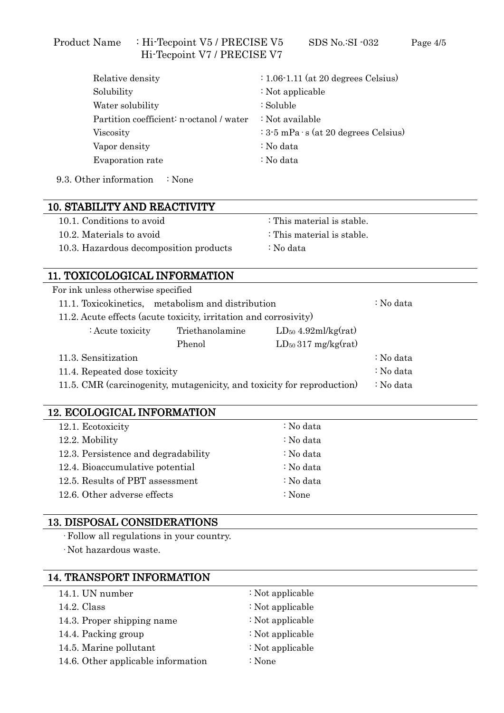#### Product Name : Hi-Tecpoint V5 / PRECISE V5 SDS No.:SI -032 Page 4/5 Hi-Tecpoint V7 / PRECISE V7

| Relative density                         | $: 1.06 - 1.11$ (at 20 degrees Celsius)          |
|------------------------------------------|--------------------------------------------------|
| Solubility                               | : Not applicable                                 |
| Water solubility                         | : Soluble                                        |
| Partition coefficient: n-octanol / water | : Not available                                  |
| Viscosity                                | $\div$ 3-5 mPa $\cdot$ s (at 20 degrees Celsius) |
| Vapor density                            | : No data                                        |
| Evaporation rate                         | : No data                                        |
|                                          |                                                  |

9.3. Other information : None

| <b>10. STABILITY AND REACTIVITY</b>    |                            |
|----------------------------------------|----------------------------|
| 10.1. Conditions to avoid              | : This material is stable. |
| 10.2. Materials to avoid               | : This material is stable. |
| 10.3. Hazardous decomposition products | : No data                  |
|                                        |                            |

### 11. TOXICOLOGICAL INFORMATION 11.

| For ink unless otherwise specified                                     |           |                          |           |  |  |  |
|------------------------------------------------------------------------|-----------|--------------------------|-----------|--|--|--|
| 11.1. Toxicokinetics, metabolism and distribution                      | : No data |                          |           |  |  |  |
| 11.2. Acute effects (acute toxicity, irritation and corrosivity)       |           |                          |           |  |  |  |
| : Acute toxicity                                                       |           |                          |           |  |  |  |
|                                                                        | Phenol    | $LD_{50}$ 317 mg/kg(rat) |           |  |  |  |
| 11.3. Sensitization                                                    | : No data |                          |           |  |  |  |
| 11.4. Repeated dose toxicity                                           | : No data |                          |           |  |  |  |
| 11.5. CMR (carcinogenity, mutagenicity, and toxicity for reproduction) |           |                          | : No data |  |  |  |
|                                                                        |           |                          |           |  |  |  |

#### 12. ECOLOGICAL INFORMATION

| 12.1. Ecotoxicity                   | : No data |  |
|-------------------------------------|-----------|--|
| 12.2. Mobility                      | : No data |  |
| 12.3. Persistence and degradability | : No data |  |
| 12.4. Bioaccumulative potential     | : No data |  |
| 12.5. Results of PBT assessment     | : No data |  |
| 12.6. Other adverse effects         | : None    |  |

#### 13. DISPOSAL CONSIDERATIONS

Follow all regulations in your country.

Not hazardous waste.

# 14. TRANSPORT INFORMATION 14.1. UN number : Not applicable 14.2. Class : Not applicable 14.3. Proper shipping name : Not applicable 14.4. Packing group : Not applicable 14.5. Marine pollutant : Not applicable 14.6. Other applicable information : None